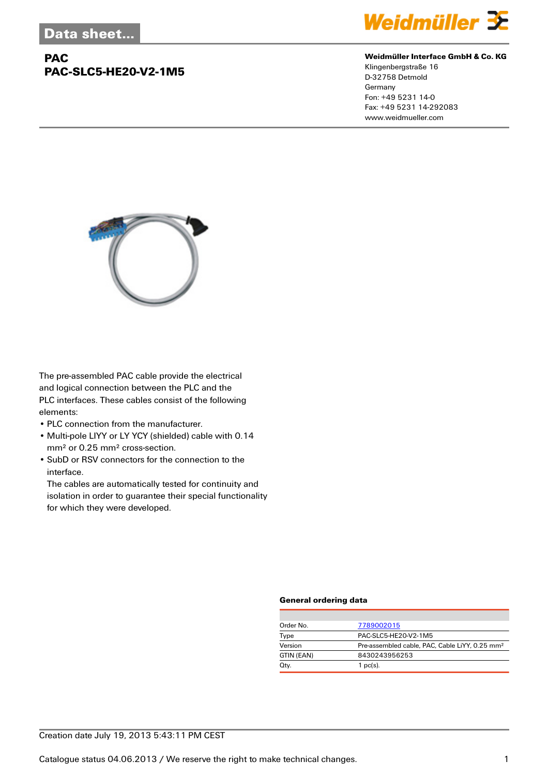## **PAC PAC-SLC5-HE20-V2-1M5**



#### **Weidmüller Interface GmbH & Co. KG**

Klingenbergstraße 16 D-32758 Detmold Germany Fon: +49 5231 14-0 Fax: +49 5231 14-292083 www.weidmueller.com



The pre-assembled PAC cable provide the electrical and logical connection between the PLC and the PLC interfaces. These cables consist of the following elements:

- PLC connection from the manufacturer.
- Multi-pole LIYY or LY YCY (shielded) cable with 0.14 mm² or 0.25 mm² cross-section.
- SubD or RSV connectors for the connection to the interface.

The cables are automatically tested for continuity and isolation in order to guarantee their special functionality for which they were developed.

#### **General ordering data**

| Order No.  | 7789002015                                                 |
|------------|------------------------------------------------------------|
| Type       | PAC-SLC5-HE20-V2-1M5                                       |
| Version    | Pre-assembled cable, PAC, Cable LiYY, 0.25 mm <sup>2</sup> |
| GTIN (EAN) | 8430243956253                                              |
| Qty.       | $1$ pc(s).                                                 |